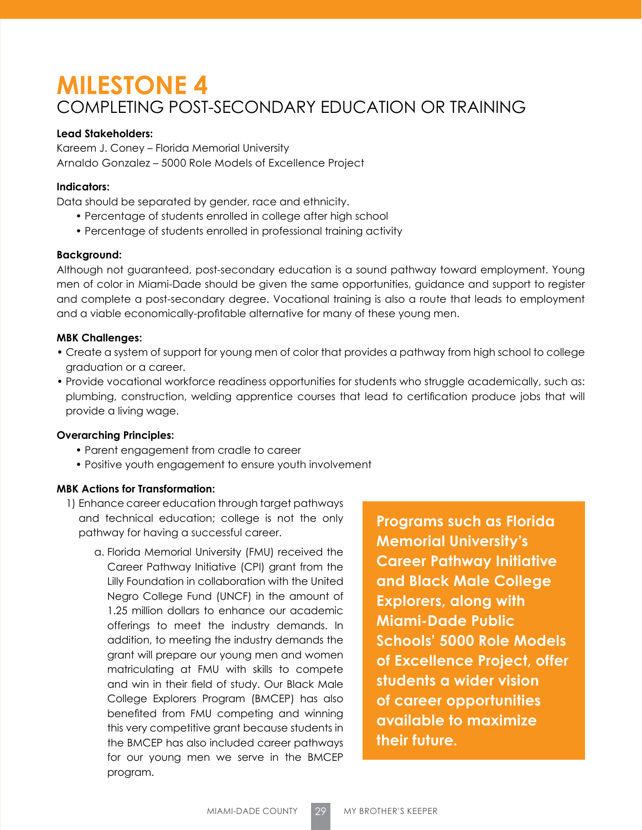# **MILESTONE 4** COMPLETING POST-SECONDARY EDUCATION OR TRAINING

## **Lead Stakeholders:**

Kareem J. Coney – Florida Memorial University Arnaldo Gonzalez – 5000 Role Models of Excellence Project

# **Indicators:**

Data should be separated by gender, race and ethnicity.

- Percentage of students enrolled in college after high school
- Percentage of students enrolled in professional training activity

#### **Background:**

Although not guaranteed, post-secondary education is a sound pathway toward employment. Young men of color in Miami-Dade should be given the same opportunities, guidance and support to register and complete a post-secondary degree. Vocational training is also a route that leads to employment and a viable economically-profitable alternative for many of these young men.

## **MBK Challenges:**

- Create a system of support for young men of color that provides a pathway from high school to college graduation or a career.
- Provide vocational workforce readiness opportunities for students who struggle academically, such as: plumbing, construction, welding apprentice courses that lead to certification produce jobs that will provide a living wage.

#### **Overarching Principles:**

- Parent engagement from cradle to career
- Positive youth engagement to ensure youth involvement

#### **MBK Actions for Transformation:**

- 1) Enhance career education through target pathways and technical education; college is not the only pathway for having a successful career.
	- a. Florida Memorial University (FMU) received the Career Pathway Initiative (CPI) grant from the Lilly Foundation in collaboration with the United Negro College Fund (UNCF) in the amount of 1.25 million dollars to enhance our academic offerings to meet the industry demands. In addition, to meeting the industry demands the grant will prepare our young men and women matriculating at FMU with skills to compete and win in their field of study. Our Black Male College Explorers Program (BMCEP) has also benefited from FMU competing and winning this very competitive grant because students in the BMCEP has also included career pathways for our young men we serve in the BMCEP program.

**Programs such as Florida Memorial University's Career Pathway Initiative and Black Male College Explorers, along with Miami-Dade Public Schools' 5000 Role Models of Excellence Project, offer students a wider vision of career opportunities available to maximize their future.**